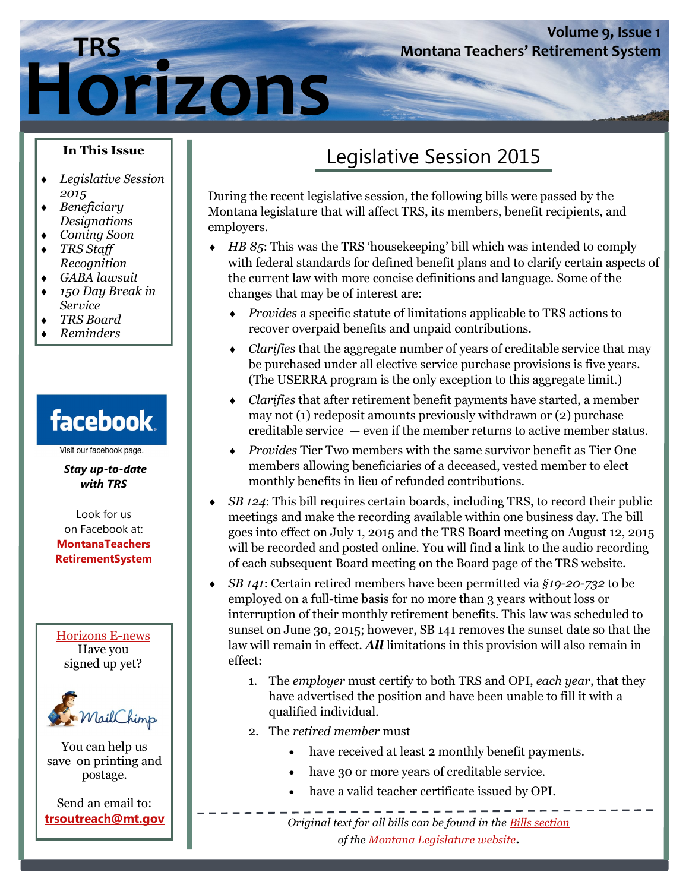# **Horizons**

## Legislative Session 2015

**Montana Teachers' Retirement System** 

**Volume 9, Issue 1**

During the recent legislative session, the following bills were passed by the Montana legislature that will affect TRS, its members, benefit recipients, and employers.

- *HB 85*: This was the TRS 'housekeeping' bill which was intended to comply with federal standards for defined benefit plans and to clarify certain aspects of the current law with more concise definitions and language. Some of the changes that may be of interest are:
	- *Provides* a specific statute of limitations applicable to TRS actions to recover overpaid benefits and unpaid contributions.
	- *Clarifies* that the aggregate number of years of creditable service that may be purchased under all elective service purchase provisions is five years. (The USERRA program is the only exception to this aggregate limit.)
	- *Clarifies* that after retirement benefit payments have started, a member may not (1) redeposit amounts previously withdrawn or (2) purchase creditable service — even if the member returns to active member status.
	- *Provides* Tier Two members with the same survivor benefit as Tier One members allowing beneficiaries of a deceased, vested member to elect monthly benefits in lieu of refunded contributions.
- *SB 124*: This bill requires certain boards, including TRS, to record their public meetings and make the recording available within one business day. The bill goes into effect on July 1, 2015 and the TRS Board meeting on August 12, 2015 will be recorded and posted online. You will find a link to the audio recording of each subsequent Board meeting on the Board page of the TRS website.
- *SB 141*: Certain retired members have been permitted via *§19-20-732* to be employed on a full-time basis for no more than 3 years without loss or interruption of their monthly retirement benefits. This law was scheduled to sunset on June 30, 2015; however, SB 141 removes the sunset date so that the law will remain in effect. *All* limitations in this provision will also remain in effect:
	- 1. The *employer* must certify to both TRS and OPI, *each year*, that they have advertised the position and have been unable to fill it with a qualified individual.
	- 2. The *retired member* must
		- have received at least 2 monthly benefit payments.
		- have 30 or more years of creditable service.
		- have a valid teacher certificate issued by OPI.

**trsoutreach@mt.gov**  $\begin{bmatrix} 0 & 0 \\ 0 & 1 \end{bmatrix}$  **Community 1** and *original text for all bills can be found in the <u>Bills section</u> of the Montana Legislature website***.** 

#### **In This Issue**

- *Legislative Session 2015*
- *Beneficiary Designations*
- *Coming Soon*
- *TRS Staff Recognition*
- *GABA lawsuit*
- *150 Day Break in Service*
- *TRS Board*
- *Reminders*

# facebook.

Visit our facebook page.

*Stay up-to-date with TRS* 

Look for us on Facebook at: **MontanaTeachers RetirementSystem**

Horizons E-news Have you signed up yet?



You can help us save on printing and postage.

Send an email to: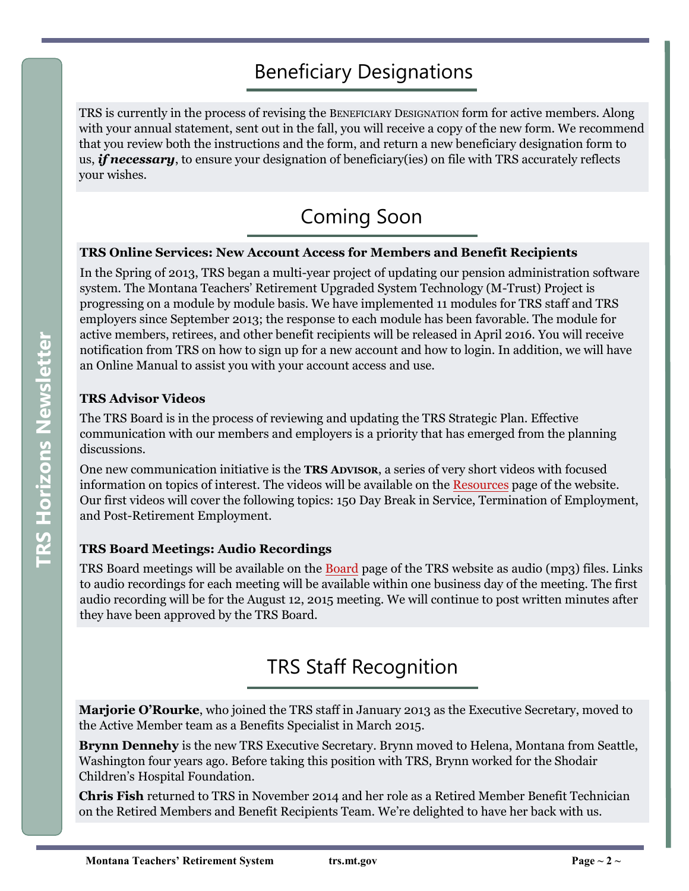## Beneficiary Designations

TRS is currently in the process of revising the BENEFICIARY DESIGNATION form for active members. Along with your annual statement, sent out in the fall, you will receive a copy of the new form. We recommend that you review both the instructions and the form, and return a new beneficiary designation form to us, *if necessary*, to ensure your designation of beneficiary(ies) on file with TRS accurately reflects your wishes.

## Coming Soon

#### **TRS Online Services: New Account Access for Members and Benefit Recipients**

In the Spring of 2013, TRS began a multi-year project of updating our pension administration software system. The Montana Teachers' Retirement Upgraded System Technology (M-Trust) Project is progressing on a module by module basis. We have implemented 11 modules for TRS staff and TRS employers since September 2013; the response to each module has been favorable. The module for active members, retirees, and other benefit recipients will be released in April 2016. You will receive notification from TRS on how to sign up for a new account and how to login. In addition, we will have an Online Manual to assist you with your account access and use.

#### **TRS Advisor Videos**

The TRS Board is in the process of reviewing and updating the TRS Strategic Plan. Effective communication with our members and employers is a priority that has emerged from the planning discussions.

One new communication initiative is the **TRS ADVISOR**, a series of very short videos with focused information on topics of interest. The videos will be available on the Resources page of the website. Our first videos will cover the following topics: 150 Day Break in Service, Termination of Employment, and Post-Retirement Employment.

#### **TRS Board Meetings: Audio Recordings**

TRS Board meetings will be available on the Board page of the TRS website as audio (mp3) files. Links to audio recordings for each meeting will be available within one business day of the meeting. The first audio recording will be for the August 12, 2015 meeting. We will continue to post written minutes after they have been approved by the TRS Board.

## TRS Staff Recognition

**Marjorie O'Rourke**, who joined the TRS staff in January 2013 as the Executive Secretary, moved to the Active Member team as a Benefits Specialist in March 2015.

**Brynn Dennehy** is the new TRS Executive Secretary. Brynn moved to Helena, Montana from Seattle, Washington four years ago. Before taking this position with TRS, Brynn worked for the Shodair Children's Hospital Foundation.

**Chris Fish** returned to TRS in November 2014 and her role as a Retired Member Benefit Technician on the Retired Members and Benefit Recipients Team. We're delighted to have her back with us.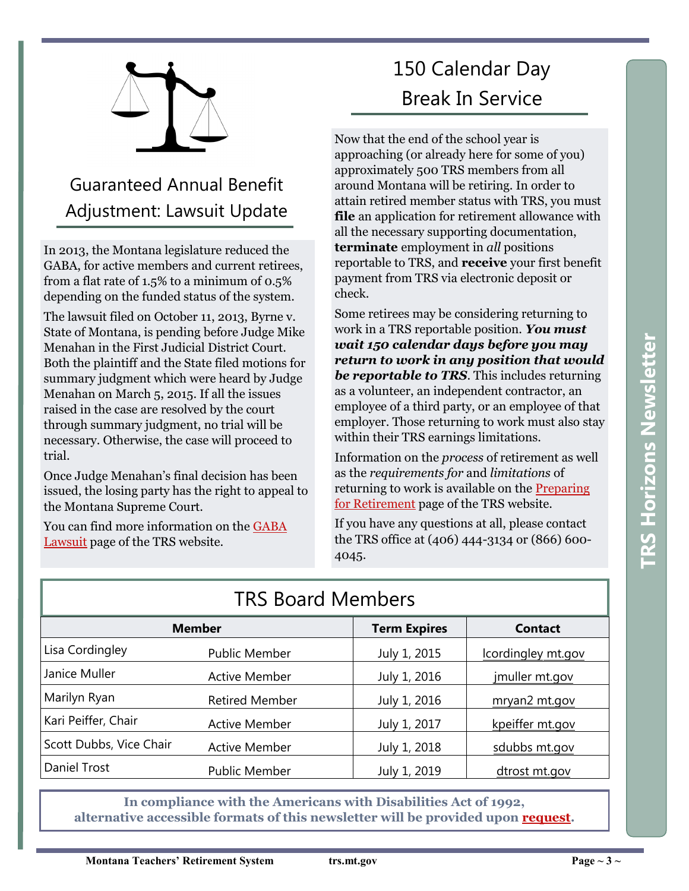

## Guaranteed Annual Benefit Adjustment: Lawsuit Update

In 2013, the Montana legislature reduced the GABA, for active members and current retirees, from a flat rate of 1.5% to a minimum of 0.5% depending on the funded status of the system.

The lawsuit filed on October 11, 2013, Byrne v. State of Montana, is pending before Judge Mike Menahan in the First Judicial District Court. Both the plaintiff and the State filed motions for summary judgment which were heard by Judge Menahan on March 5, 2015. If all the issues raised in the case are resolved by the court through summary judgment, no trial will be necessary. Otherwise, the case will proceed to trial.

Once Judge Menahan's final decision has been issued, the losing party has the right to appeal to the Montana Supreme Court.

You can find more information on the GABA [Lawsuit p](https://trs.mt.gov/trs-info/NewsGaba)age of the TRS website.

## 150 Calendar Day Break In Service

Now that the end of the school year is approaching (or already here for some of you) approximately 500 TRS members from all around Montana will be retiring. In order to attain retired member status with TRS, you must **file** an application for retirement allowance with all the necessary supporting documentation, **terminate** employment in *all* positions reportable to TRS, and **receive** your first benefit payment from TRS via electronic deposit or check.

Some retirees may be considering returning to work in a TRS reportable position. *You must wait 150 calendar days before you may return to work in any position that would be reportable to TRS*. This includes returning as a volunteer, an independent contractor, an employee of a third party, or an employee of that employer. Those returning to work must also stay within their TRS earnings limitations.

Information on the *process* of retirement as well as the *requirements for* and *limitations* of returning to work is available on the [Preparing](https://trs.mt.gov/TrsInfo/RetirementPrep)  for Retirement page of the TRS website.

If you have any questions at all, please contact the TRS office at (406) 444-3134 or (866) 600- 4045.

| INS DUCTU MEITIDEIS     |                       |                     |                    |
|-------------------------|-----------------------|---------------------|--------------------|
| <b>Member</b>           |                       | <b>Term Expires</b> | <b>Contact</b>     |
| Lisa Cordingley         | <b>Public Member</b>  | July 1, 2015        | lcordingley mt.gov |
| Janice Muller           | <b>Active Member</b>  | July 1, 2016        | jmuller mt.gov     |
| Marilyn Ryan            | <b>Retired Member</b> | July 1, 2016        | mryan2 mt.gov      |
| Kari Peiffer, Chair     | <b>Active Member</b>  | July 1, 2017        | kpeiffer mt.gov    |
| Scott Dubbs, Vice Chair | <b>Active Member</b>  | July 1, 2018        | sdubbs mt.gov      |
| Daniel Trost            | Public Member         | July 1, 2019        | dtrost mt.gov      |

## TDC Roard Mombors

**In compliance with the Americans with Disabilities Act of 1992, alternative accessible formats of this newsletter will be provided upon request.**